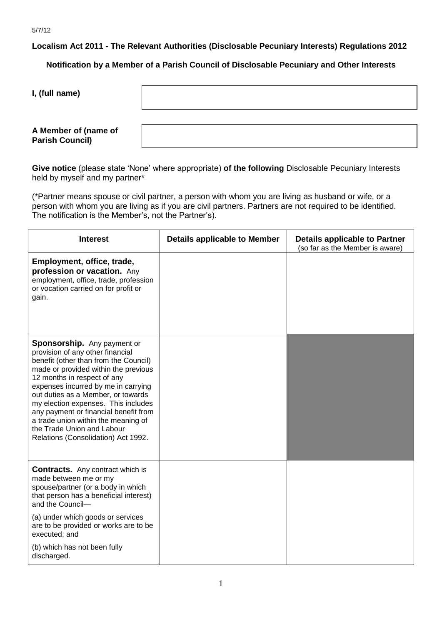**Localism Act 2011 - The Relevant Authorities (Disclosable Pecuniary Interests) Regulations 2012**

**Notification by a Member of a Parish Council of Disclosable Pecuniary and Other Interests**

**I, (full name)** 

## **A Member of (name of Parish Council)**

**Give notice** (please state 'None' where appropriate) **of the following** Disclosable Pecuniary Interests held by myself and my partner\*

(\*Partner means spouse or civil partner, a person with whom you are living as husband or wife, or a person with whom you are living as if you are civil partners. Partners are not required to be identified. The notification is the Member's, not the Partner's).

| <b>Interest</b>                                                                                                                                                                                                                                                                                                                                                                                                                                          | <b>Details applicable to Member</b> | <b>Details applicable to Partner</b><br>(so far as the Member is aware) |
|----------------------------------------------------------------------------------------------------------------------------------------------------------------------------------------------------------------------------------------------------------------------------------------------------------------------------------------------------------------------------------------------------------------------------------------------------------|-------------------------------------|-------------------------------------------------------------------------|
| Employment, office, trade,<br>profession or vacation. Any<br>employment, office, trade, profession<br>or vocation carried on for profit or<br>gain.                                                                                                                                                                                                                                                                                                      |                                     |                                                                         |
| Sponsorship. Any payment or<br>provision of any other financial<br>benefit (other than from the Council)<br>made or provided within the previous<br>12 months in respect of any<br>expenses incurred by me in carrying<br>out duties as a Member, or towards<br>my election expenses. This includes<br>any payment or financial benefit from<br>a trade union within the meaning of<br>the Trade Union and Labour<br>Relations (Consolidation) Act 1992. |                                     |                                                                         |
| <b>Contracts.</b> Any contract which is<br>made between me or my<br>spouse/partner (or a body in which<br>that person has a beneficial interest)<br>and the Council-                                                                                                                                                                                                                                                                                     |                                     |                                                                         |
| (a) under which goods or services<br>are to be provided or works are to be<br>executed; and                                                                                                                                                                                                                                                                                                                                                              |                                     |                                                                         |
| (b) which has not been fully<br>discharged.                                                                                                                                                                                                                                                                                                                                                                                                              |                                     |                                                                         |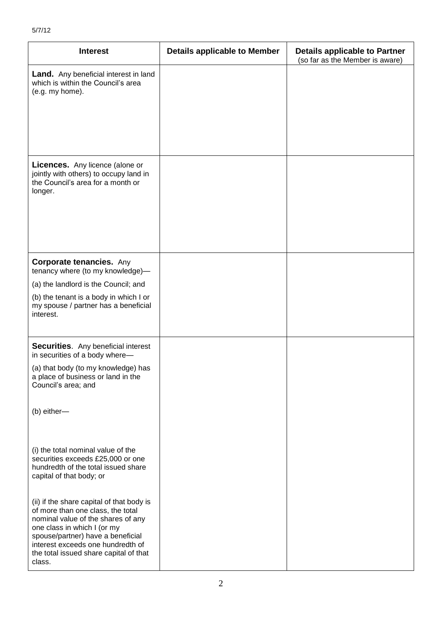| <b>Interest</b>                                                                                                                                                                                                                                                                   | <b>Details applicable to Member</b> | <b>Details applicable to Partner</b><br>(so far as the Member is aware) |
|-----------------------------------------------------------------------------------------------------------------------------------------------------------------------------------------------------------------------------------------------------------------------------------|-------------------------------------|-------------------------------------------------------------------------|
| <b>Land.</b> Any beneficial interest in land<br>which is within the Council's area<br>(e.g. my home).                                                                                                                                                                             |                                     |                                                                         |
|                                                                                                                                                                                                                                                                                   |                                     |                                                                         |
| <b>Licences.</b> Any licence (alone or<br>jointly with others) to occupy land in<br>the Council's area for a month or<br>longer.                                                                                                                                                  |                                     |                                                                         |
| <b>Corporate tenancies.</b> Any<br>tenancy where (to my knowledge)-                                                                                                                                                                                                               |                                     |                                                                         |
| (a) the landlord is the Council; and                                                                                                                                                                                                                                              |                                     |                                                                         |
| (b) the tenant is a body in which I or<br>my spouse / partner has a beneficial<br>interest.                                                                                                                                                                                       |                                     |                                                                         |
| <b>Securities.</b> Any beneficial interest<br>in securities of a body where-                                                                                                                                                                                                      |                                     |                                                                         |
| (a) that body (to my knowledge) has<br>a place of business or land in the<br>Council's area; and                                                                                                                                                                                  |                                     |                                                                         |
| (b) either-                                                                                                                                                                                                                                                                       |                                     |                                                                         |
| (i) the total nominal value of the<br>securities exceeds £25,000 or one<br>hundredth of the total issued share<br>capital of that body; or                                                                                                                                        |                                     |                                                                         |
| (ii) if the share capital of that body is<br>of more than one class, the total<br>nominal value of the shares of any<br>one class in which I (or my<br>spouse/partner) have a beneficial<br>interest exceeds one hundredth of<br>the total issued share capital of that<br>class. |                                     |                                                                         |